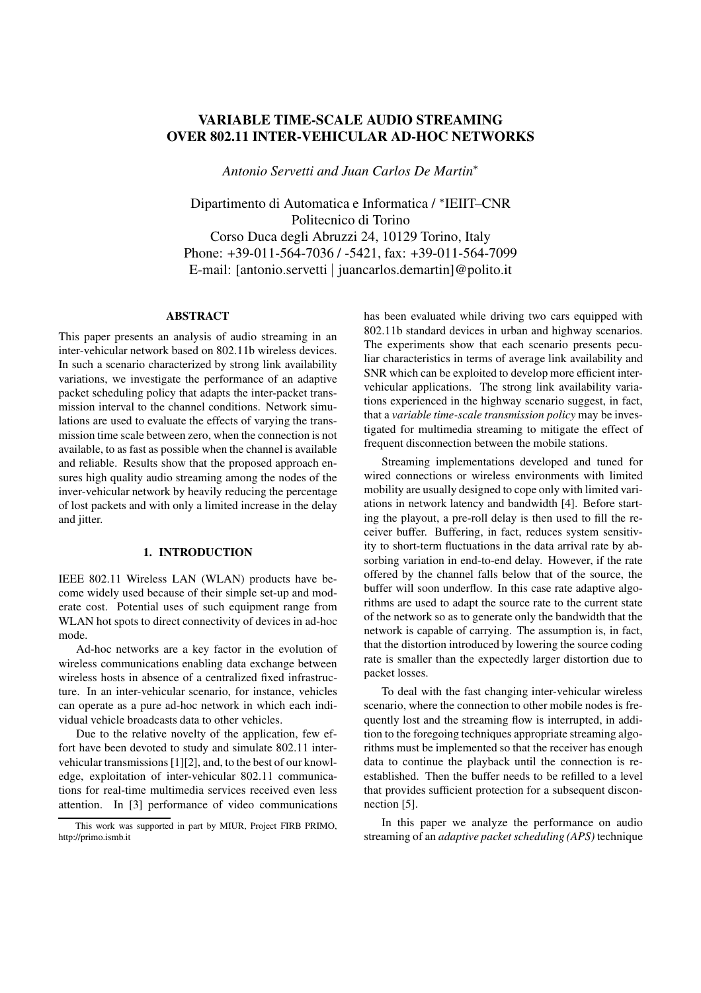# **VARIABLE TIME-SCALE AUDIO STREAMING OVER 802.11 INTER-VEHICULAR AD-HOC NETWORKS**

*Antonio Servetti and Juan Carlos De Martin*

Dipartimento di Automatica e Informatica / IEIIT–CNR Politecnico di Torino Corso Duca degli Abruzzi 24, 10129 Torino, Italy Phone: +39-011-564-7036 / -5421, fax: +39-011-564-7099 E-mail: [antonio.servetti juancarlos.demartin]@polito.it

## **ABSTRACT**

This paper presents an analysis of audio streaming in an inter-vehicular network based on 802.11b wireless devices. In such a scenario characterized by strong link availability variations, we investigate the performance of an adaptive packet scheduling policy that adapts the inter-packet transmission interval to the channel conditions. Network simulations are used to evaluate the effects of varying the transmission time scale between zero, when the connection is not available, to as fast as possible when the channel is available and reliable. Results show that the proposed approach ensures high quality audio streaming among the nodes of the inver-vehicular network by heavily reducing the percentage of lost packets and with only a limited increase in the delay and jitter.

## **1. INTRODUCTION**

IEEE 802.11 Wireless LAN (WLAN) products have become widely used because of their simple set-up and moderate cost. Potential uses of such equipment range from WLAN hot spots to direct connectivity of devices in ad-hoc mode.

Ad-hoc networks are a key factor in the evolution of wireless communications enabling data exchange between wireless hosts in absence of a centralized fixed infrastructure. In an inter-vehicular scenario, for instance, vehicles can operate as a pure ad-hoc network in which each individual vehicle broadcasts data to other vehicles.

Due to the relative novelty of the application, few effort have been devoted to study and simulate 802.11 intervehicular transmissions[1][2], and, to the best of our knowledge, exploitation of inter-vehicular 802.11 communications for real-time multimedia services received even less attention. In [3] performance of video communications has been evaluated while driving two cars equipped with 802.11b standard devices in urban and highway scenarios. The experiments show that each scenario presents peculiar characteristics in terms of average link availability and SNR which can be exploited to develop more efficient intervehicular applications. The strong link availability variations experienced in the highway scenario suggest, in fact, that a *variable time-scale transmission policy* may be investigated for multimedia streaming to mitigate the effect of frequent disconnection between the mobile stations.

Streaming implementations developed and tuned for wired connections or wireless environments with limited mobility are usually designed to cope only with limited variations in network latency and bandwidth [4]. Before starting the playout, a pre-roll delay is then used to fill the receiver buffer. Buffering, in fact, reduces system sensitivity to short-term fluctuations in the data arrival rate by absorbing variation in end-to-end delay. However, if the rate offered by the channel falls below that of the source, the buffer will soon underflow. In this case rate adaptive algorithms are used to adapt the source rate to the current state of the network so as to generate only the bandwidth that the network is capable of carrying. The assumption is, in fact, that the distortion introduced by lowering the source coding rate is smaller than the expectedly larger distortion due to packet losses.

To deal with the fast changing inter-vehicular wireless scenario, where the connection to other mobile nodes is frequently lost and the streaming flow is interrupted, in addition to the foregoing techniques appropriate streaming algorithms must be implemented so that the receiver has enough data to continue the playback until the connection is reestablished. Then the buffer needs to be refilled to a level that provides sufficient protection for a subsequent disconnection [5].

In this paper we analyze the performance on audio streaming of an *adaptive packet scheduling (APS)* technique

This work was supported in part by MIUR, Project FIRB PRIMO, http://primo.ismb.it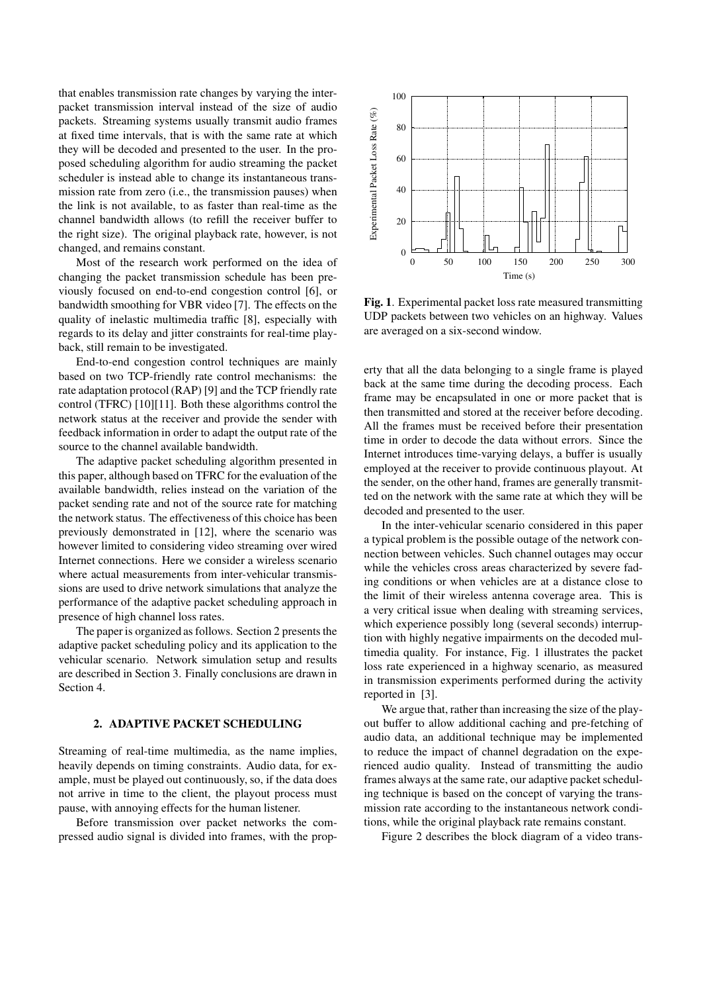that enables transmission rate changes by varying the interpacket transmission interval instead of the size of audio packets. Streaming systems usually transmit audio frames at fixed time intervals, that is with the same rate at which they will be decoded and presented to the user. In the proposed scheduling algorithm for audio streaming the packet scheduler is instead able to change its instantaneous transmission rate from zero (i.e., the transmission pauses) when the link is not available, to as faster than real-time as the channel bandwidth allows (to refill the receiver buffer to the right size). The original playback rate, however, is not changed, and remains constant.

Most of the research work performed on the idea of changing the packet transmission schedule has been previously focused on end-to-end congestion control [6], or bandwidth smoothing for VBR video [7]. The effects on the quality of inelastic multimedia traffic [8], especially with regards to its delay and jitter constraints for real-time playback, still remain to be investigated.

End-to-end congestion control techniques are mainly based on two TCP-friendly rate control mechanisms: the rate adaptation protocol (RAP) [9] and the TCP friendly rate control (TFRC) [10][11]. Both these algorithms control the network status at the receiver and provide the sender with feedback information in order to adapt the output rate of the source to the channel available bandwidth.

The adaptive packet scheduling algorithm presented in this paper, although based on TFRC for the evaluation of the available bandwidth, relies instead on the variation of the packet sending rate and not of the source rate for matching the network status. The effectiveness of this choice has been previously demonstrated in [12], where the scenario was however limited to considering video streaming over wired Internet connections. Here we consider a wireless scenario where actual measurements from inter-vehicular transmissions are used to drive network simulations that analyze the performance of the adaptive packet scheduling approach in presence of high channel loss rates.

The paper is organized as follows. Section 2 presents the adaptive packet scheduling policy and its application to the vehicular scenario. Network simulation setup and results are described in Section 3. Finally conclusions are drawn in Section 4.

#### **2. ADAPTIVE PACKET SCHEDULING**

Streaming of real-time multimedia, as the name implies, heavily depends on timing constraints. Audio data, for example, must be played out continuously, so, if the data does not arrive in time to the client, the playout process must pause, with annoying effects for the human listener.

Before transmission over packet networks the compressed audio signal is divided into frames, with the prop-



**Fig. 1**. Experimental packet loss rate measured transmitting UDP packets between two vehicles on an highway. Values are averaged on a six-second window.

erty that all the data belonging to a single frame is played back at the same time during the decoding process. Each frame may be encapsulated in one or more packet that is then transmitted and stored at the receiver before decoding. All the frames must be received before their presentation time in order to decode the data without errors. Since the Internet introduces time-varying delays, a buffer is usually employed at the receiver to provide continuous playout. At the sender, on the other hand, frames are generally transmitted on the network with the same rate at which they will be decoded and presented to the user.

In the inter-vehicular scenario considered in this paper a typical problem is the possible outage of the network connection between vehicles. Such channel outages may occur while the vehicles cross areas characterized by severe fading conditions or when vehicles are at a distance close to the limit of their wireless antenna coverage area. This is a very critical issue when dealing with streaming services, which experience possibly long (several seconds) interruption with highly negative impairments on the decoded multimedia quality. For instance, Fig. 1 illustrates the packet loss rate experienced in a highway scenario, as measured in transmission experiments performed during the activity reported in [3].

We argue that, rather than increasing the size of the playout buffer to allow additional caching and pre-fetching of audio data, an additional technique may be implemented to reduce the impact of channel degradation on the experienced audio quality. Instead of transmitting the audio frames always at the same rate, our adaptive packet scheduling technique is based on the concept of varying the transmission rate according to the instantaneous network conditions, while the original playback rate remains constant.

Figure 2 describes the block diagram of a video trans-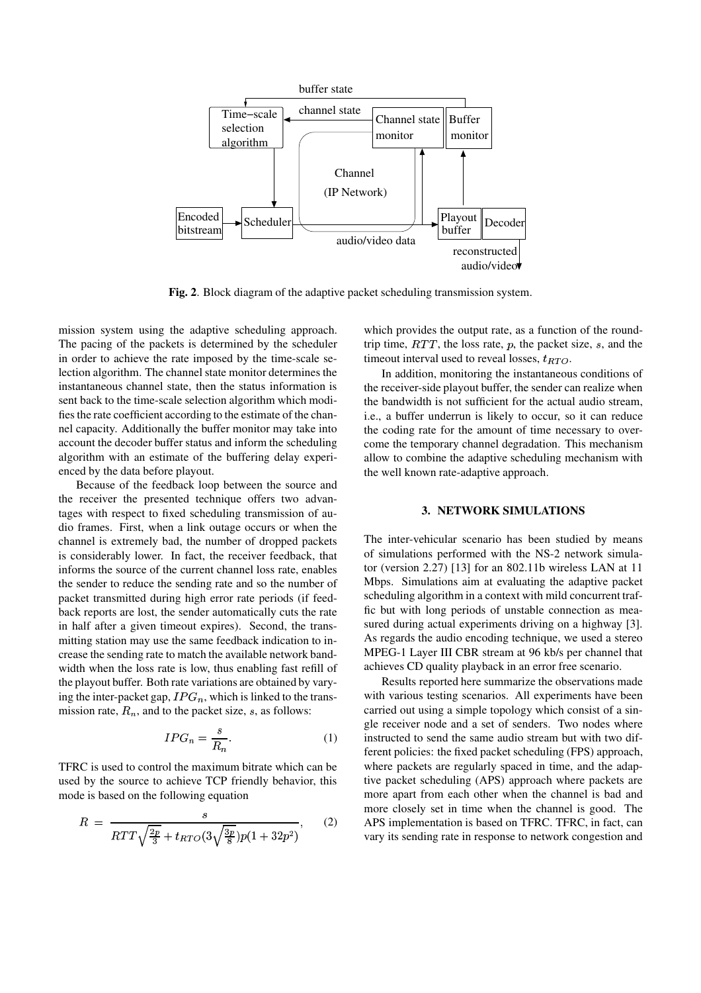

**Fig. 2**. Block diagram of the adaptive packet scheduling transmission system.

mission system using the adaptive scheduling approach. The pacing of the packets is determined by the scheduler in order to achieve the rate imposed by the time-scale selection algorithm. The channel state monitor determines the instantaneous channel state, then the status information is sent back to the time-scale selection algorithm which modifies the rate coefficient according to the estimate of the channel capacity. Additionally the buffer monitor may take into account the decoder buffer status and inform the scheduling algorithm with an estimate of the buffering delay experienced by the data before playout.

Because of the feedback loop between the source and the receiver the presented technique offers two advantages with respect to fixed scheduling transmission of audio frames. First, when a link outage occurs or when the channel is extremely bad, the number of dropped packets is considerably lower. In fact, the receiver feedback, that informs the source of the current channel loss rate, enables the sender to reduce the sending rate and so the number of packet transmitted during high error rate periods (if feedback reports are lost, the sender automatically cuts the rate in half after a given timeout expires). Second, the transmitting station may use the same feedback indication to increase the sending rate to match the available network bandwidth when the loss rate is low, thus enabling fast refill of the playout buffer. Both rate variations are obtained by varying the inter-packet gap,  $IPG_n$ , which is linked to the transmission rate,  $R_n$ , and to the packet size, s, as follows:

$$
IPG_n = \frac{s}{R_n}.\tag{1}
$$

TFRC is used to control the maximum bitrate which can be used by the source to achieve TCP friendly behavior, this mode is based on the following equation

$$
R = \frac{s}{RTT\sqrt{\frac{2p}{3}} + t_{RTO}(3\sqrt{\frac{3p}{8}})p(1+32p^2)},
$$
 (2)

which provides the output rate, as a function of the roundtrip time,  $RTT$ , the loss rate,  $p$ , the packet size,  $s$ , and the timeout interval used to reveal losses,  $t_{RTO}$ .

In addition, monitoring the instantaneous conditions of the receiver-side playout buffer, the sender can realize when the bandwidth is not sufficient for the actual audio stream, i.e., a buffer underrun is likely to occur, so it can reduce the coding rate for the amount of time necessary to overcome the temporary channel degradation. This mechanism allow to combine the adaptive scheduling mechanism with the well known rate-adaptive approach.

## **3. NETWORK SIMULATIONS**

The inter-vehicular scenario has been studied by means of simulations performed with the NS-2 network simulator (version 2.27) [13] for an 802.11b wireless LAN at 11 Mbps. Simulations aim at evaluating the adaptive packet scheduling algorithm in a context with mild concurrent traffic but with long periods of unstable connection as measured during actual experiments driving on a highway [3]. As regards the audio encoding technique, we used a stereo MPEG-1 Layer III CBR stream at 96 kb/s per channel that achieves CD quality playback in an error free scenario.

Results reported here summarize the observations made with various testing scenarios. All experiments have been carried out using a simple topology which consist of a single receiver node and a set of senders. Two nodes where instructed to send the same audio stream but with two different policies: the fixed packet scheduling (FPS) approach, where packets are regularly spaced in time, and the adaptive packet scheduling (APS) approach where packets are more apart from each other when the channel is bad and more closely set in time when the channel is good. The APS implementation is based on TFRC. TFRC, in fact, can vary its sending rate in response to network congestion and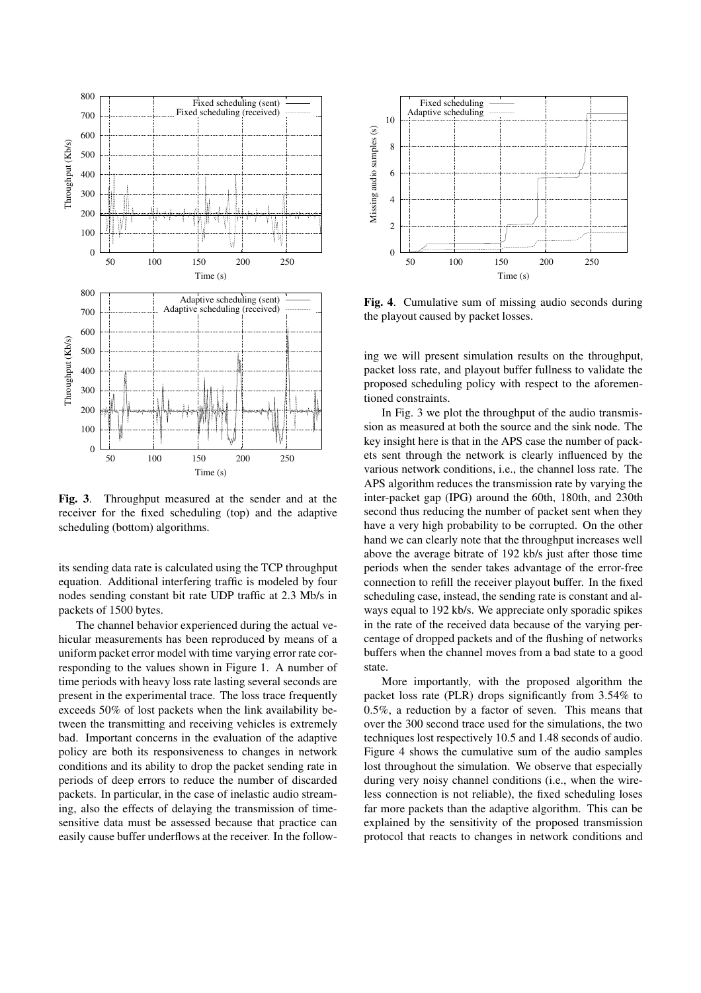

**Fig. 3**. Throughput measured at the sender and at the receiver for the fixed scheduling (top) and the adaptive scheduling (bottom) algorithms.

its sending data rate is calculated using the TCP throughput equation. Additional interfering traffic is modeled by four nodes sending constant bit rate UDP traffic at 2.3 Mb/s in packets of 1500 bytes.

The channel behavior experienced during the actual vehicular measurements has been reproduced by means of a uniform packet error model with time varying error rate corresponding to the values shown in Figure 1. A number of time periods with heavy loss rate lasting several seconds are present in the experimental trace. The loss trace frequently exceeds 50% of lost packets when the link availability between the transmitting and receiving vehicles is extremely bad. Important concerns in the evaluation of the adaptive policy are both its responsiveness to changes in network conditions and its ability to drop the packet sending rate in periods of deep errors to reduce the number of discarded packets. In particular, in the case of inelastic audio streaming, also the effects of delaying the transmission of timesensitive data must be assessed because that practice can easily cause buffer underflows at the receiver. In the follow-



**Fig. 4**. Cumulative sum of missing audio seconds during the playout caused by packet losses.

ing we will present simulation results on the throughput, packet loss rate, and playout buffer fullness to validate the proposed scheduling policy with respect to the aforementioned constraints.

In Fig. 3 we plot the throughput of the audio transmission as measured at both the source and the sink node. The key insight here is that in the APS case the number of packets sent through the network is clearly influenced by the various network conditions, i.e., the channel loss rate. The APS algorithm reduces the transmission rate by varying the inter-packet gap (IPG) around the 60th, 180th, and 230th second thus reducing the number of packet sent when they have a very high probability to be corrupted. On the other hand we can clearly note that the throughput increases well above the average bitrate of 192 kb/s just after those time periods when the sender takes advantage of the error-free connection to refill the receiver playout buffer. In the fixed scheduling case, instead, the sending rate is constant and always equal to 192 kb/s. We appreciate only sporadic spikes in the rate of the received data because of the varying percentage of dropped packets and of the flushing of networks buffers when the channel moves from a bad state to a good state.

More importantly, with the proposed algorithm the packet loss rate (PLR) drops significantly from 3.54% to 0.5%, a reduction by a factor of seven. This means that over the 300 second trace used for the simulations, the two techniques lost respectively 10.5 and 1.48 seconds of audio. Figure 4 shows the cumulative sum of the audio samples lost throughout the simulation. We observe that especially during very noisy channel conditions (i.e., when the wireless connection is not reliable), the fixed scheduling loses far more packets than the adaptive algorithm. This can be explained by the sensitivity of the proposed transmission protocol that reacts to changes in network conditions and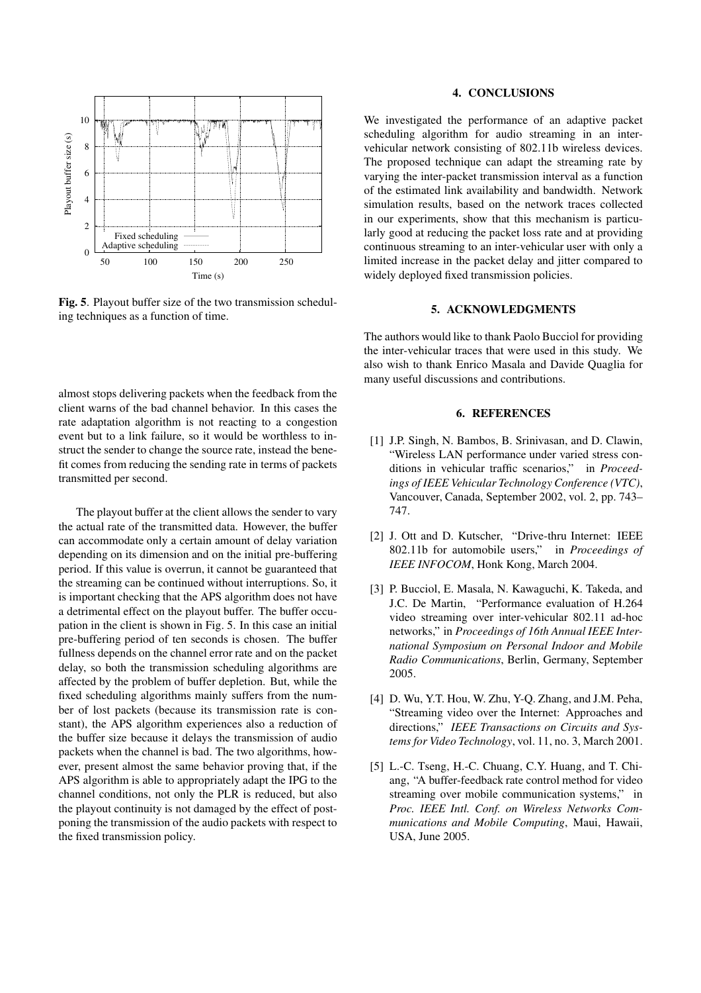

**Fig. 5**. Playout buffer size of the two transmission scheduling techniques as a function of time.

almost stops delivering packets when the feedback from the client warns of the bad channel behavior. In this cases the rate adaptation algorithm is not reacting to a congestion event but to a link failure, so it would be worthless to instruct the sender to change the source rate, instead the benefit comes from reducing the sending rate in terms of packets transmitted per second.

The playout buffer at the client allows the sender to vary the actual rate of the transmitted data. However, the buffer can accommodate only a certain amount of delay variation depending on its dimension and on the initial pre-buffering period. If this value is overrun, it cannot be guaranteed that the streaming can be continued without interruptions. So, it is important checking that the APS algorithm does not have a detrimental effect on the playout buffer. The buffer occupation in the client is shown in Fig. 5. In this case an initial pre-buffering period of ten seconds is chosen. The buffer fullness depends on the channel error rate and on the packet delay, so both the transmission scheduling algorithms are affected by the problem of buffer depletion. But, while the fixed scheduling algorithms mainly suffers from the number of lost packets (because its transmission rate is constant), the APS algorithm experiences also a reduction of the buffer size because it delays the transmission of audio packets when the channel is bad. The two algorithms, however, present almost the same behavior proving that, if the APS algorithm is able to appropriately adapt the IPG to the channel conditions, not only the PLR is reduced, but also the playout continuity is not damaged by the effect of postponing the transmission of the audio packets with respect to the fixed transmission policy.

#### **4. CONCLUSIONS**

We investigated the performance of an adaptive packet scheduling algorithm for audio streaming in an intervehicular network consisting of 802.11b wireless devices. The proposed technique can adapt the streaming rate by varying the inter-packet transmission interval as a function of the estimated link availability and bandwidth. Network simulation results, based on the network traces collected in our experiments, show that this mechanism is particularly good at reducing the packet loss rate and at providing continuous streaming to an inter-vehicular user with only a limited increase in the packet delay and jitter compared to widely deployed fixed transmission policies.

#### **5. ACKNOWLEDGMENTS**

The authors would like to thank Paolo Bucciol for providing the inter-vehicular traces that were used in this study. We also wish to thank Enrico Masala and Davide Quaglia for many useful discussions and contributions.

### **6. REFERENCES**

- [1] J.P. Singh, N. Bambos, B. Srinivasan, and D. Clawin, "Wireless LAN performance under varied stress conditions in vehicular traffic scenarios," in *Proceedings of IEEE Vehicular Technology Conference (VTC)*, Vancouver, Canada, September 2002, vol. 2, pp. 743– 747.
- [2] J. Ott and D. Kutscher, "Drive-thru Internet: IEEE 802.11b for automobile users," in *Proceedings of IEEE INFOCOM*, Honk Kong, March 2004.
- [3] P. Bucciol, E. Masala, N. Kawaguchi, K. Takeda, and J.C. De Martin, "Performance evaluation of H.264 video streaming over inter-vehicular 802.11 ad-hoc networks," in *Proceedings of 16th Annual IEEE International Symposium on Personal Indoor and Mobile Radio Communications*, Berlin, Germany, September 2005.
- [4] D. Wu, Y.T. Hou, W. Zhu, Y-Q. Zhang, and J.M. Peha, "Streaming video over the Internet: Approaches and directions," *IEEE Transactions on Circuits and Systems for Video Technology*, vol. 11, no. 3, March 2001.
- [5] L.-C. Tseng, H.-C. Chuang, C.Y. Huang, and T. Chiang, "A buffer-feedback rate control method for video streaming over mobile communication systems," in *Proc. IEEE Intl. Conf. on Wireless Networks Communications and Mobile Computing*, Maui, Hawaii, USA, June 2005.